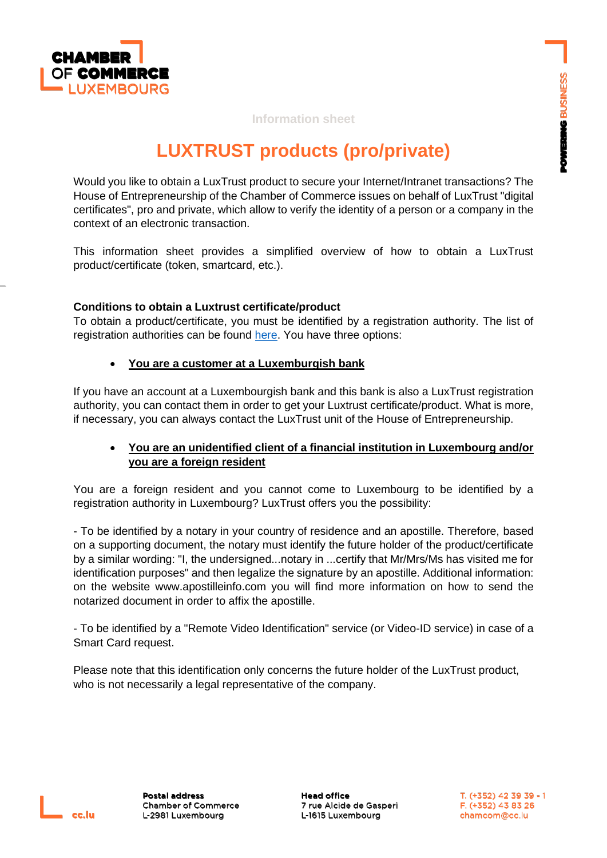

## **Information sheet**

# **LUXTRUST products (pro/private)**

Would you like to obtain a LuxTrust product to secure your Internet/Intranet transactions? The House of Entrepreneurship of the Chamber of Commerce issues on behalf of LuxTrust "digital certificates", pro and private, which allow to verify the identity of a person or a company in the context of an electronic transaction.

This information sheet provides a simplified overview of how to obtain a LuxTrust product/certificate (token, smartcard, etc.).

## **Conditions to obtain a Luxtrust certificate/product**

To obtain a product/certificate, you must be identified by a registration authority. The list of registration authorities can be found [here.](https://www.luxtrust.com/fr/autorites-denregistrement) You have three options:

## • **You are a customer at a Luxemburgish bank**

If you have an account at a Luxembourgish bank and this bank is also a LuxTrust registration authority, you can contact them in order to get your Luxtrust certificate/product. What is more, if necessary, you can always contact the LuxTrust unit of the House of Entrepreneurship.

## • **You are an unidentified client of a financial institution in Luxembourg and/or you are a foreign resident**

You are a foreign resident and you cannot come to Luxembourg to be identified by a registration authority in Luxembourg? LuxTrust offers you the possibility:

- To be identified by a notary in your country of residence and an apostille. Therefore, based on a supporting document, the notary must identify the future holder of the product/certificate by a similar wording: "I, the undersigned...notary in ...certify that Mr/Mrs/Ms has visited me for identification purposes" and then legalize the signature by an apostille. Additional information: on the website www.apostilleinfo.com you will find more information on how to send the notarized document in order to affix the apostille.

- To be identified by a "Remote Video Identification" service (or Video-ID service) in case of a Smart Card request.

Please note that this identification only concerns the future holder of the LuxTrust product, who is not necessarily a legal representative of the company.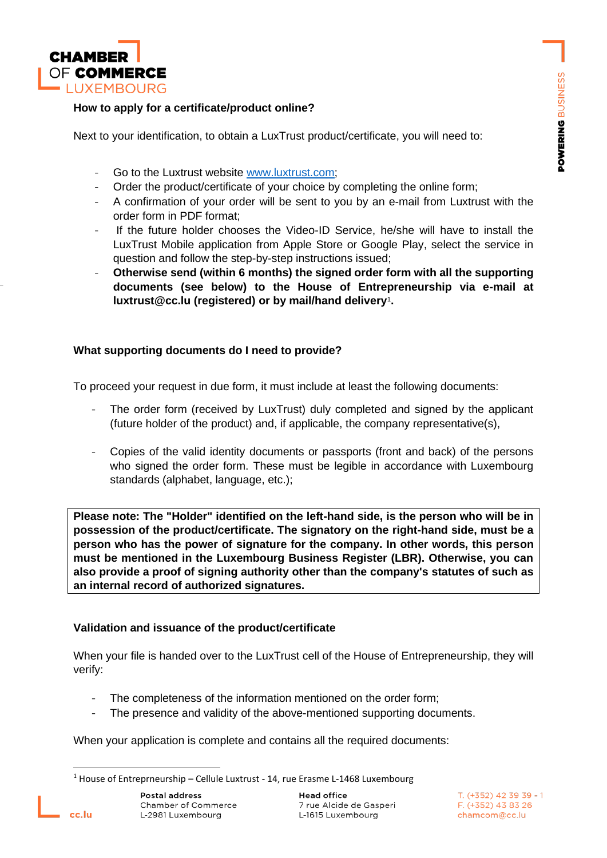

#### **How to apply for a certificate/product online?**

Next to your identification, to obtain a LuxTrust product/certificate, you will need to:

- Go to the Luxtrust website [www.luxtrust.com;](http://www.luxtrust.com/)
- Order the product/certificate of your choice by completing the online form;
- A confirmation of your order will be sent to you by an e-mail from Luxtrust with the order form in PDF format;
- If the future holder chooses the Video-ID Service, he/she will have to install the LuxTrust Mobile application from Apple Store or Google Play, select the service in question and follow the step-by-step instructions issued;
- **Otherwise send (within 6 months) the signed order form with all the supporting documents (see below) to the House of Entrepreneurship via e-mail at luxtrust@cc.lu (registered) or by mail/hand delivery**<sup>1</sup> **.**

## **What supporting documents do I need to provide?**

To proceed your request in due form, it must include at least the following documents:

- The order form (received by LuxTrust) duly completed and signed by the applicant (future holder of the product) and, if applicable, the company representative(s),
- Copies of the valid identity documents or passports (front and back) of the persons who signed the order form. These must be legible in accordance with Luxembourg standards (alphabet, language, etc.);

**Please note: The "Holder" identified on the left-hand side, is the person who will be in possession of the product/certificate. The signatory on the right-hand side, must be a person who has the power of signature for the company. In other words, this person must be mentioned in the Luxembourg Business Register (LBR). Otherwise, you can also provide a proof of signing authority other than the company's statutes of such as an internal record of authorized signatures.**

# **Validation and issuance of the product/certificate**

When your file is handed over to the LuxTrust cell of the House of Entrepreneurship, they will verify:

- The completeness of the information mentioned on the order form;
- The presence and validity of the above-mentioned supporting documents.

When your application is complete and contains all the required documents:

 $1$  House of Entreprneurship – Cellule Luxtrust - 14, rue Erasme L-1468 Luxembourg